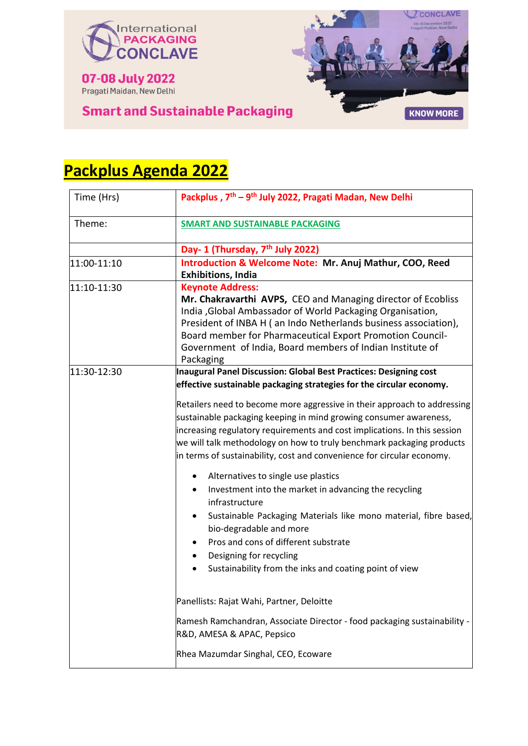



# **Smart and Sustainable Packaging**

| Time (Hrs)  | Packplus, 7 <sup>th</sup> - 9 <sup>th</sup> July 2022, Pragati Madan, New Delhi                                                                                                                                                                                                                                                                                               |
|-------------|-------------------------------------------------------------------------------------------------------------------------------------------------------------------------------------------------------------------------------------------------------------------------------------------------------------------------------------------------------------------------------|
| Theme:      | <b>SMART AND SUSTAINABLE PACKAGING</b>                                                                                                                                                                                                                                                                                                                                        |
|             | Day- 1 (Thursday, 7 <sup>th</sup> July 2022)                                                                                                                                                                                                                                                                                                                                  |
| 11:00-11:10 | Introduction & Welcome Note: Mr. Anuj Mathur, COO, Reed                                                                                                                                                                                                                                                                                                                       |
|             | <b>Exhibitions, India</b>                                                                                                                                                                                                                                                                                                                                                     |
| 11:10-11:30 | <b>Keynote Address:</b><br>Mr. Chakravarthi AVPS, CEO and Managing director of Ecobliss<br>India , Global Ambassador of World Packaging Organisation,<br>President of INBA H (an Indo Netherlands business association),<br>Board member for Pharmaceutical Export Promotion Council-<br>Government of India, Board members of Indian Institute of<br>Packaging               |
| 11:30-12:30 | Inaugural Panel Discussion: Global Best Practices: Designing cost                                                                                                                                                                                                                                                                                                             |
|             | effective sustainable packaging strategies for the circular economy.                                                                                                                                                                                                                                                                                                          |
|             | Retailers need to become more aggressive in their approach to addressing<br>sustainable packaging keeping in mind growing consumer awareness,<br>increasing regulatory requirements and cost implications. In this session<br>we will talk methodology on how to truly benchmark packaging products<br>in terms of sustainability, cost and convenience for circular economy. |
|             | Alternatives to single use plastics<br>Investment into the market in advancing the recycling<br>infrastructure<br>Sustainable Packaging Materials like mono material, fibre based,<br>٠<br>bio-degradable and more<br>Pros and cons of different substrate<br>٠<br>Designing for recycling<br>Sustainability from the inks and coating point of view                          |
|             | Panellists: Rajat Wahi, Partner, Deloitte                                                                                                                                                                                                                                                                                                                                     |
|             | Ramesh Ramchandran, Associate Director - food packaging sustainability -<br>R&D, AMESA & APAC, Pepsico                                                                                                                                                                                                                                                                        |
|             | Rhea Mazumdar Singhal, CEO, Ecoware                                                                                                                                                                                                                                                                                                                                           |

# **Packplus Agenda 2022**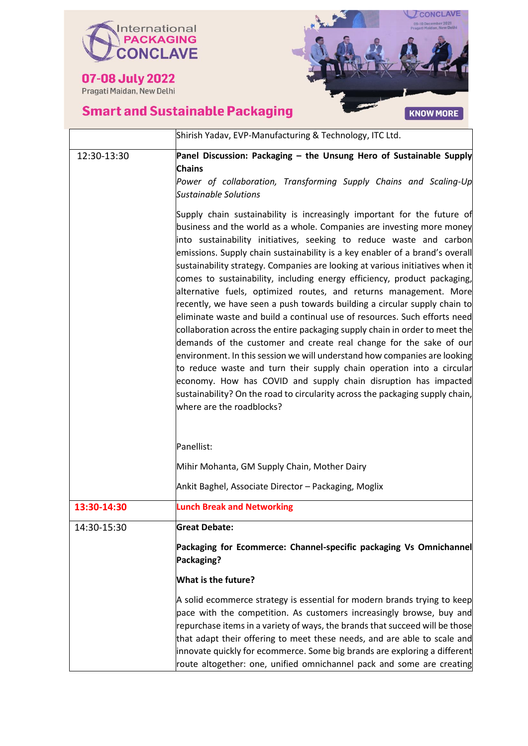



|             | Shirish Yadav, EVP-Manufacturing & Technology, ITC Ltd.                                                                                                                                                                                                                                                                                                                                                                                                                                                                                                                                                                                                                                                                                                                                                                                                                                                                                                                                                                                                                                                                                                                                         |
|-------------|-------------------------------------------------------------------------------------------------------------------------------------------------------------------------------------------------------------------------------------------------------------------------------------------------------------------------------------------------------------------------------------------------------------------------------------------------------------------------------------------------------------------------------------------------------------------------------------------------------------------------------------------------------------------------------------------------------------------------------------------------------------------------------------------------------------------------------------------------------------------------------------------------------------------------------------------------------------------------------------------------------------------------------------------------------------------------------------------------------------------------------------------------------------------------------------------------|
| 12:30-13:30 | Panel Discussion: Packaging - the Unsung Hero of Sustainable Supply<br><b>Chains</b><br>Power of collaboration, Transforming Supply Chains and Scaling-Up<br><b>Sustainable Solutions</b>                                                                                                                                                                                                                                                                                                                                                                                                                                                                                                                                                                                                                                                                                                                                                                                                                                                                                                                                                                                                       |
|             | Supply chain sustainability is increasingly important for the future of<br>business and the world as a whole. Companies are investing more money<br>into sustainability initiatives, seeking to reduce waste and carbon<br>emissions. Supply chain sustainability is a key enabler of a brand's overall<br>sustainability strategy. Companies are looking at various initiatives when it<br>comes to sustainability, including energy efficiency, product packaging,<br>alternative fuels, optimized routes, and returns management. More<br>recently, we have seen a push towards building a circular supply chain to<br>eliminate waste and build a continual use of resources. Such efforts need<br>collaboration across the entire packaging supply chain in order to meet the<br>demands of the customer and create real change for the sake of our<br>environment. In this session we will understand how companies are looking<br>to reduce waste and turn their supply chain operation into a circular<br>economy. How has COVID and supply chain disruption has impacted<br>sustainability? On the road to circularity across the packaging supply chain,<br>where are the roadblocks? |
|             | Panellist:                                                                                                                                                                                                                                                                                                                                                                                                                                                                                                                                                                                                                                                                                                                                                                                                                                                                                                                                                                                                                                                                                                                                                                                      |
|             | Mihir Mohanta, GM Supply Chain, Mother Dairy                                                                                                                                                                                                                                                                                                                                                                                                                                                                                                                                                                                                                                                                                                                                                                                                                                                                                                                                                                                                                                                                                                                                                    |
|             | Ankit Baghel, Associate Director - Packaging, Moglix                                                                                                                                                                                                                                                                                                                                                                                                                                                                                                                                                                                                                                                                                                                                                                                                                                                                                                                                                                                                                                                                                                                                            |

| 13:30-14:30 | <b>Lunch Break and Networking</b>                                                                                                                                                                                                                                                                                                                                                                                                                                  |
|-------------|--------------------------------------------------------------------------------------------------------------------------------------------------------------------------------------------------------------------------------------------------------------------------------------------------------------------------------------------------------------------------------------------------------------------------------------------------------------------|
| 14:30-15:30 | <b>Great Debate:</b>                                                                                                                                                                                                                                                                                                                                                                                                                                               |
|             | Packaging for Ecommerce: Channel-specific packaging Vs Omnichannel<br>Packaging?                                                                                                                                                                                                                                                                                                                                                                                   |
|             | What is the future?                                                                                                                                                                                                                                                                                                                                                                                                                                                |
|             | A solid ecommerce strategy is essential for modern brands trying to keep<br>pace with the competition. As customers increasingly browse, buy and<br>repurchase items in a variety of ways, the brands that succeed will be those<br>that adapt their offering to meet these needs, and are able to scale and<br>innovate quickly for ecommerce. Some big brands are exploring a different<br>route altogether: one, unified omnichannel pack and some are creating |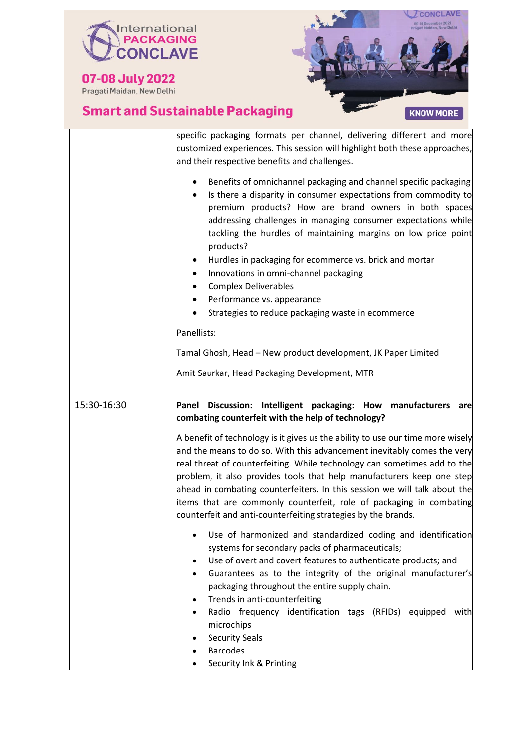

07-08 July 2022



|             | specific packaging formats per channel, delivering different and more<br>customized experiences. This session will highlight both these approaches,<br>and their respective benefits and challenges.                                                                                                                                                                                                                                                                                                                                |
|-------------|-------------------------------------------------------------------------------------------------------------------------------------------------------------------------------------------------------------------------------------------------------------------------------------------------------------------------------------------------------------------------------------------------------------------------------------------------------------------------------------------------------------------------------------|
|             | Benefits of omnichannel packaging and channel specific packaging<br>Is there a disparity in consumer expectations from commodity to<br>premium products? How are brand owners in both spaces<br>addressing challenges in managing consumer expectations while<br>tackling the hurdles of maintaining margins on low price point<br>products?<br>Hurdles in packaging for ecommerce vs. brick and mortar<br>Innovations in omni-channel packaging<br><b>Complex Deliverables</b>                                                     |
|             | Performance vs. appearance                                                                                                                                                                                                                                                                                                                                                                                                                                                                                                          |
|             | Strategies to reduce packaging waste in ecommerce                                                                                                                                                                                                                                                                                                                                                                                                                                                                                   |
|             | Panellists:                                                                                                                                                                                                                                                                                                                                                                                                                                                                                                                         |
|             | Tamal Ghosh, Head – New product development, JK Paper Limited                                                                                                                                                                                                                                                                                                                                                                                                                                                                       |
|             | Amit Saurkar, Head Packaging Development, MTR                                                                                                                                                                                                                                                                                                                                                                                                                                                                                       |
| 15:30-16:30 | Panel Discussion: Intelligent packaging: How manufacturers<br>are                                                                                                                                                                                                                                                                                                                                                                                                                                                                   |
|             | combating counterfeit with the help of technology?                                                                                                                                                                                                                                                                                                                                                                                                                                                                                  |
|             | A benefit of technology is it gives us the ability to use our time more wisely<br>and the means to do so. With this advancement inevitably comes the very<br>real threat of counterfeiting. While technology can sometimes add to the<br>problem, it also provides tools that help manufacturers keep one step<br>ahead in combating counterfeiters. In this session we will talk about the<br>items that are commonly counterfeit, role of packaging in combating<br>counterfeit and anti-counterfeiting strategies by the brands. |
|             | Use of harmonized and standardized coding and identification<br>systems for secondary packs of pharmaceuticals;<br>Use of overt and covert features to authenticate products; and<br>٠<br>Guarantees as to the integrity of the original manufacturer's<br>packaging throughout the entire supply chain.<br>Trends in anti-counterfeiting<br>Radio frequency identification tags (RFIDs) equipped<br>with<br>microchips<br><b>Security Seals</b>                                                                                    |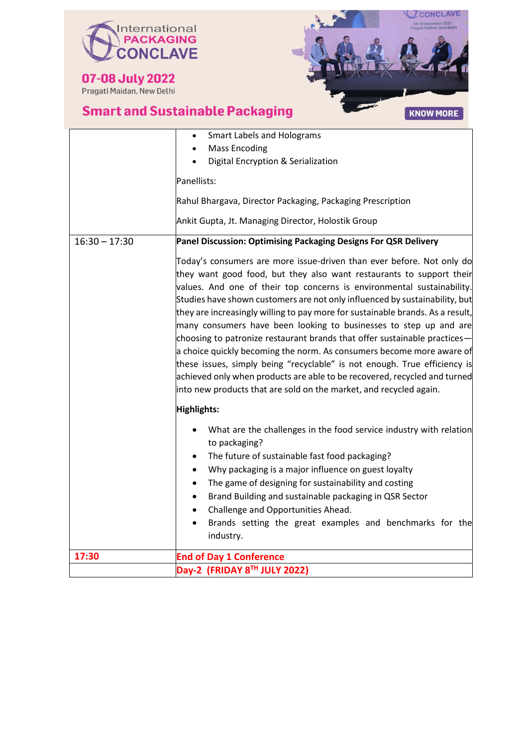



|                 | <b>Smart Labels and Holograms</b><br><b>Mass Encoding</b>                                                                                                                                                                                                                                                                                                                                                                                                                                                                                                                                                                                                                                                                                                                                                                                           |
|-----------------|-----------------------------------------------------------------------------------------------------------------------------------------------------------------------------------------------------------------------------------------------------------------------------------------------------------------------------------------------------------------------------------------------------------------------------------------------------------------------------------------------------------------------------------------------------------------------------------------------------------------------------------------------------------------------------------------------------------------------------------------------------------------------------------------------------------------------------------------------------|
|                 | Digital Encryption & Serialization                                                                                                                                                                                                                                                                                                                                                                                                                                                                                                                                                                                                                                                                                                                                                                                                                  |
|                 | Panellists:                                                                                                                                                                                                                                                                                                                                                                                                                                                                                                                                                                                                                                                                                                                                                                                                                                         |
|                 | Rahul Bhargava, Director Packaging, Packaging Prescription                                                                                                                                                                                                                                                                                                                                                                                                                                                                                                                                                                                                                                                                                                                                                                                          |
|                 | Ankit Gupta, Jt. Managing Director, Holostik Group                                                                                                                                                                                                                                                                                                                                                                                                                                                                                                                                                                                                                                                                                                                                                                                                  |
| $16:30 - 17:30$ | Panel Discussion: Optimising Packaging Designs For QSR Delivery                                                                                                                                                                                                                                                                                                                                                                                                                                                                                                                                                                                                                                                                                                                                                                                     |
|                 | Today's consumers are more issue-driven than ever before. Not only do<br>they want good food, but they also want restaurants to support their<br>values. And one of their top concerns is environmental sustainability.<br>Studies have shown customers are not only influenced by sustainability, but<br>they are increasingly willing to pay more for sustainable brands. As a result,<br>many consumers have been looking to businesses to step up and are<br>choosing to patronize restaurant brands that offer sustainable practices-<br>a choice quickly becoming the norm. As consumers become more aware of<br>these issues, simply being "recyclable" is not enough. True efficiency is<br>achieved only when products are able to be recovered, recycled and turned<br>into new products that are sold on the market, and recycled again. |
|                 | Highlights:                                                                                                                                                                                                                                                                                                                                                                                                                                                                                                                                                                                                                                                                                                                                                                                                                                         |
|                 | What are the challenges in the food service industry with relation<br>$\bullet$<br>to packaging?<br>The future of sustainable fast food packaging?<br>٠<br>Why packaging is a major influence on guest loyalty<br>$\bullet$<br>The game of designing for sustainability and costing<br>$\bullet$<br>Brand Building and sustainable packaging in QSR Sector<br>$\bullet$<br>Challenge and Opportunities Ahead.<br>$\bullet$<br>Brands setting the great examples and benchmarks for the<br>industry.                                                                                                                                                                                                                                                                                                                                                 |
| 17:30           | <b>End of Day 1 Conference</b>                                                                                                                                                                                                                                                                                                                                                                                                                                                                                                                                                                                                                                                                                                                                                                                                                      |
|                 | Day-2 (FRIDAY 8 <sup>TH</sup> JULY 2022)                                                                                                                                                                                                                                                                                                                                                                                                                                                                                                                                                                                                                                                                                                                                                                                                            |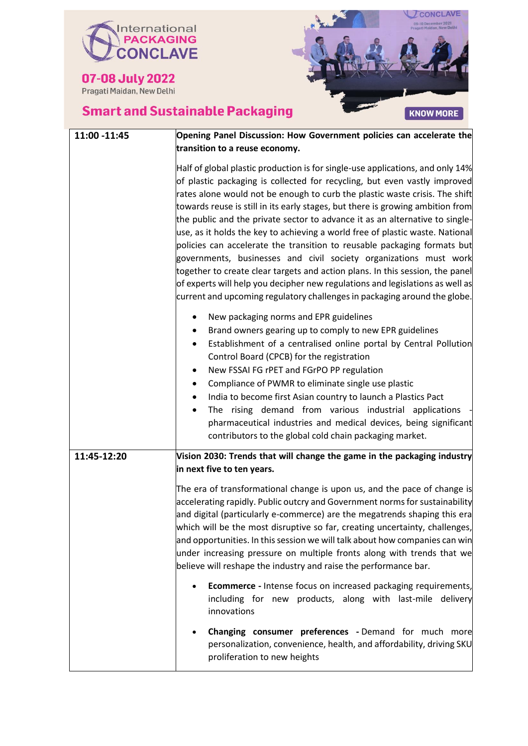



| 11:00 -11:45 | Opening Panel Discussion: How Government policies can accelerate the                                                                                                                                                                                                                                                                                                                                                                                                                                                                                                                                                                                                                                                                                                                                                                                                                          |
|--------------|-----------------------------------------------------------------------------------------------------------------------------------------------------------------------------------------------------------------------------------------------------------------------------------------------------------------------------------------------------------------------------------------------------------------------------------------------------------------------------------------------------------------------------------------------------------------------------------------------------------------------------------------------------------------------------------------------------------------------------------------------------------------------------------------------------------------------------------------------------------------------------------------------|
|              | transition to a reuse economy.                                                                                                                                                                                                                                                                                                                                                                                                                                                                                                                                                                                                                                                                                                                                                                                                                                                                |
|              | Half of global plastic production is for single-use applications, and only 14%<br>of plastic packaging is collected for recycling, but even vastly improved<br>rates alone would not be enough to curb the plastic waste crisis. The shift<br>towards reuse is still in its early stages, but there is growing ambition from<br>the public and the private sector to advance it as an alternative to single-<br>use, as it holds the key to achieving a world free of plastic waste. National<br>policies can accelerate the transition to reusable packaging formats but<br>governments, businesses and civil society organizations must work<br>together to create clear targets and action plans. In this session, the panel<br>of experts will help you decipher new regulations and legislations as well as<br>current and upcoming regulatory challenges in packaging around the globe. |
|              | New packaging norms and EPR guidelines<br>Brand owners gearing up to comply to new EPR guidelines<br>٠<br>Establishment of a centralised online portal by Central Pollution<br>Control Board (CPCB) for the registration<br>New FSSAI FG rPET and FGrPO PP regulation<br>Compliance of PWMR to eliminate single use plastic<br>$\bullet$<br>India to become first Asian country to launch a Plastics Pact<br>The rising demand from various industrial applications<br>pharmaceutical industries and medical devices, being significant<br>contributors to the global cold chain packaging market.                                                                                                                                                                                                                                                                                            |
| 11:45-12:20  | Vision 2030: Trends that will change the game in the packaging industry<br>in next five to ten years.                                                                                                                                                                                                                                                                                                                                                                                                                                                                                                                                                                                                                                                                                                                                                                                         |
|              | The era of transformational change is upon us, and the pace of change is<br>accelerating rapidly. Public outcry and Government norms for sustainability<br>and digital (particularly e-commerce) are the megatrends shaping this era<br>which will be the most disruptive so far, creating uncertainty, challenges,<br>and opportunities. In this session we will talk about how companies can win<br>under increasing pressure on multiple fronts along with trends that we<br>believe will reshape the industry and raise the performance bar.                                                                                                                                                                                                                                                                                                                                              |
|              | <b>Ecommerce</b> - Intense focus on increased packaging requirements,<br>including for new products, along with last-mile delivery<br>innovations                                                                                                                                                                                                                                                                                                                                                                                                                                                                                                                                                                                                                                                                                                                                             |
|              | <b>Changing consumer preferences - Demand for much more</b><br>personalization, convenience, health, and affordability, driving SKU<br>proliferation to new heights                                                                                                                                                                                                                                                                                                                                                                                                                                                                                                                                                                                                                                                                                                                           |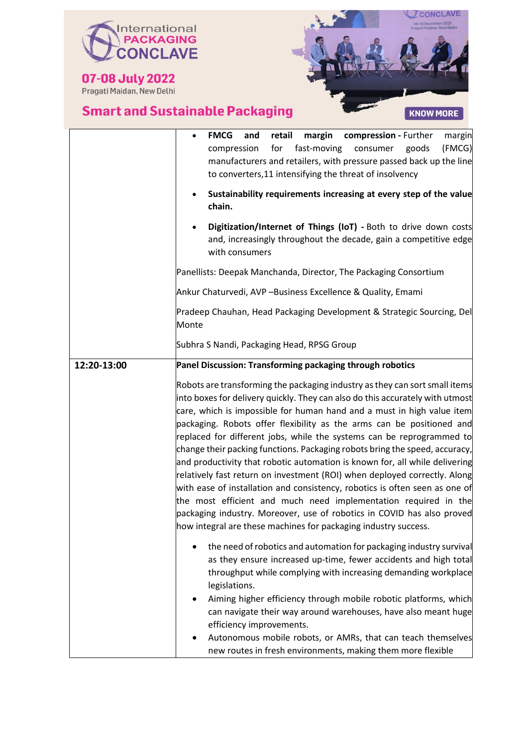



|             | margin<br><b>FMCG</b><br>retail<br>compression - Further<br>margin<br>and<br>fast-moving<br>(FMCG)<br>for<br>consumer<br>compression<br>goods<br>manufacturers and retailers, with pressure passed back up the line<br>to converters, 11 intensifying the threat of insolvency<br>Sustainability requirements increasing at every step of the value<br>chain.                                                                                                                                                                                                                                                                                                                                                                                                                                                                                                                                                                      |
|-------------|------------------------------------------------------------------------------------------------------------------------------------------------------------------------------------------------------------------------------------------------------------------------------------------------------------------------------------------------------------------------------------------------------------------------------------------------------------------------------------------------------------------------------------------------------------------------------------------------------------------------------------------------------------------------------------------------------------------------------------------------------------------------------------------------------------------------------------------------------------------------------------------------------------------------------------|
|             | Digitization/Internet of Things (IoT) - Both to drive down costs<br>and, increasingly throughout the decade, gain a competitive edge<br>with consumers                                                                                                                                                                                                                                                                                                                                                                                                                                                                                                                                                                                                                                                                                                                                                                             |
|             | Panellists: Deepak Manchanda, Director, The Packaging Consortium                                                                                                                                                                                                                                                                                                                                                                                                                                                                                                                                                                                                                                                                                                                                                                                                                                                                   |
|             | Ankur Chaturvedi, AVP -Business Excellence & Quality, Emami                                                                                                                                                                                                                                                                                                                                                                                                                                                                                                                                                                                                                                                                                                                                                                                                                                                                        |
|             | Pradeep Chauhan, Head Packaging Development & Strategic Sourcing, Del<br>Monte                                                                                                                                                                                                                                                                                                                                                                                                                                                                                                                                                                                                                                                                                                                                                                                                                                                     |
|             | Subhra S Nandi, Packaging Head, RPSG Group                                                                                                                                                                                                                                                                                                                                                                                                                                                                                                                                                                                                                                                                                                                                                                                                                                                                                         |
| 12:20-13:00 | Panel Discussion: Transforming packaging through robotics                                                                                                                                                                                                                                                                                                                                                                                                                                                                                                                                                                                                                                                                                                                                                                                                                                                                          |
|             | Robots are transforming the packaging industry as they can sort small items<br>into boxes for delivery quickly. They can also do this accurately with utmost<br>care, which is impossible for human hand and a must in high value item<br>packaging. Robots offer flexibility as the arms can be positioned and<br>replaced for different jobs, while the systems can be reprogrammed to<br>change their packing functions. Packaging robots bring the speed, accuracy,<br>and productivity that robotic automation is known for, all while delivering<br>relatively fast return on investment (ROI) when deployed correctly. Along<br>with ease of installation and consistency, robotics is often seen as one of<br>the most efficient and much need implementation required in the<br>packaging industry. Moreover, use of robotics in COVID has also proved<br>how integral are these machines for packaging industry success. |
|             | the need of robotics and automation for packaging industry survival<br>as they ensure increased up-time, fewer accidents and high total<br>throughput while complying with increasing demanding workplace<br>legislations.<br>Aiming higher efficiency through mobile robotic platforms, which<br>can navigate their way around warehouses, have also meant huge<br>efficiency improvements.<br>Autonomous mobile robots, or AMRs, that can teach themselves<br>new routes in fresh environments, making them more flexible                                                                                                                                                                                                                                                                                                                                                                                                        |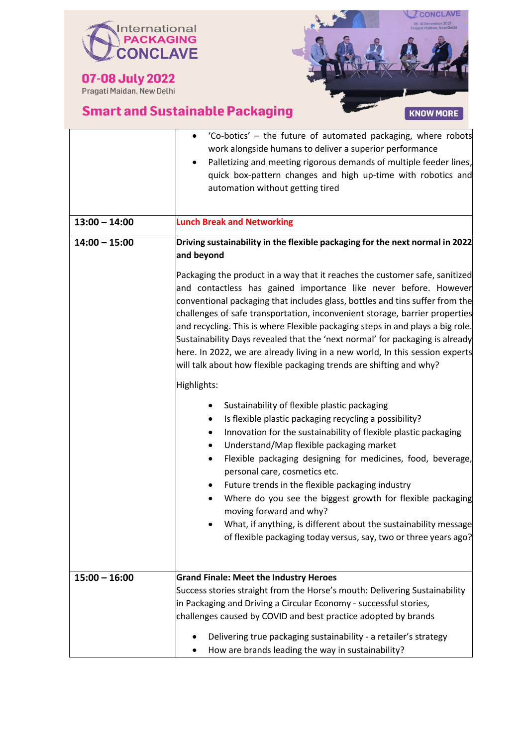



|                 | 'Co-botics' – the future of automated packaging, where robots<br>work alongside humans to deliver a superior performance<br>Palletizing and meeting rigorous demands of multiple feeder lines,<br>$\bullet$<br>quick box-pattern changes and high up-time with robotics and<br>automation without getting tired                                                                                                                                                                                                                                                                                                                         |
|-----------------|-----------------------------------------------------------------------------------------------------------------------------------------------------------------------------------------------------------------------------------------------------------------------------------------------------------------------------------------------------------------------------------------------------------------------------------------------------------------------------------------------------------------------------------------------------------------------------------------------------------------------------------------|
| $13:00 - 14:00$ | <b>Lunch Break and Networking</b>                                                                                                                                                                                                                                                                                                                                                                                                                                                                                                                                                                                                       |
| $14:00 - 15:00$ | Driving sustainability in the flexible packaging for the next normal in 2022<br>and beyond                                                                                                                                                                                                                                                                                                                                                                                                                                                                                                                                              |
|                 | Packaging the product in a way that it reaches the customer safe, sanitized<br>and contactless has gained importance like never before. However<br>conventional packaging that includes glass, bottles and tins suffer from the<br>challenges of safe transportation, inconvenient storage, barrier properties<br>and recycling. This is where Flexible packaging steps in and plays a big role.<br>Sustainability Days revealed that the 'next normal' for packaging is already<br>here. In 2022, we are already living in a new world, In this session experts<br>will talk about how flexible packaging trends are shifting and why? |
|                 | Highlights:                                                                                                                                                                                                                                                                                                                                                                                                                                                                                                                                                                                                                             |
|                 | Sustainability of flexible plastic packaging<br>٠<br>Is flexible plastic packaging recycling a possibility?<br>٠<br>Innovation for the sustainability of flexible plastic packaging<br>٠<br>Understand/Map flexible packaging market<br>٠<br>Flexible packaging designing for medicines, food, beverage,<br>$\bullet$<br>personal care, cosmetics etc.                                                                                                                                                                                                                                                                                  |
|                 | Future trends in the flexible packaging industry<br>٠<br>Where do you see the biggest growth for flexible packaging<br>moving forward and why?<br>What, if anything, is different about the sustainability message<br>of flexible packaging today versus, say, two or three years ago?                                                                                                                                                                                                                                                                                                                                                  |
|                 |                                                                                                                                                                                                                                                                                                                                                                                                                                                                                                                                                                                                                                         |
| $15:00 - 16:00$ | <b>Grand Finale: Meet the Industry Heroes</b><br>Success stories straight from the Horse's mouth: Delivering Sustainability<br>in Packaging and Driving a Circular Economy - successful stories,<br>challenges caused by COVID and best practice adopted by brands                                                                                                                                                                                                                                                                                                                                                                      |
|                 | Delivering true packaging sustainability - a retailer's strategy<br>How are brands leading the way in sustainability?                                                                                                                                                                                                                                                                                                                                                                                                                                                                                                                   |